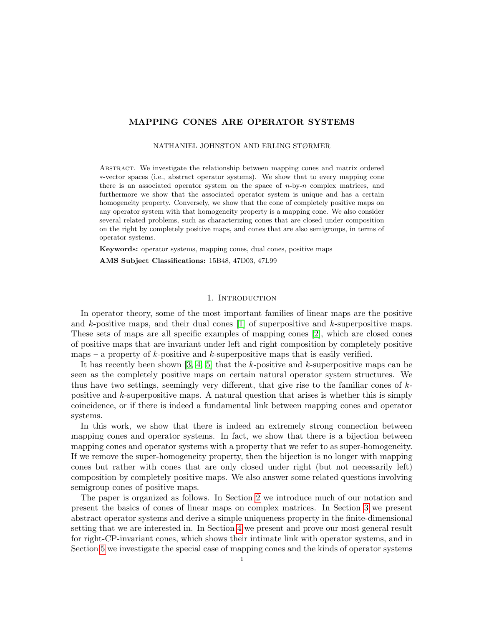# MAPPING CONES ARE OPERATOR SYSTEMS

NATHANIEL JOHNSTON AND ERLING STØRMER

Abstract. We investigate the relationship between mapping cones and matrix ordered ∗-vector spaces (i.e., abstract operator systems). We show that to every mapping cone there is an associated operator system on the space of  $n$ -by- $n$  complex matrices, and furthermore we show that the associated operator system is unique and has a certain homogeneity property. Conversely, we show that the cone of completely positive maps on any operator system with that homogeneity property is a mapping cone. We also consider several related problems, such as characterizing cones that are closed under composition on the right by completely positive maps, and cones that are also semigroups, in terms of operator systems.

Keywords: operator systems, mapping cones, dual cones, positive maps

AMS Subject Classifications: 15B48, 47D03, 47L99

### 1. INTRODUCTION

In operator theory, some of the most important families of linear maps are the positive and  $k$ -positive maps, and their dual cones [\[1\]](#page-11-0) of superpositive and  $k$ -superpositive maps. These sets of maps are all specific examples of mapping cones [\[2\]](#page-11-1), which are closed cones of positive maps that are invariant under left and right composition by completely positive maps – a property of  $k$ -positive and  $k$ -superpositive maps that is easily verified.

It has recently been shown  $[3, 4, 5]$  $[3, 4, 5]$  $[3, 4, 5]$  that the k-positive and k-superpositive maps can be seen as the completely positive maps on certain natural operator system structures. We thus have two settings, seemingly very different, that give rise to the familiar cones of  $k$ positive and k-superpositive maps. A natural question that arises is whether this is simply coincidence, or if there is indeed a fundamental link between mapping cones and operator systems.

In this work, we show that there is indeed an extremely strong connection between mapping cones and operator systems. In fact, we show that there is a bijection between mapping cones and operator systems with a property that we refer to as super-homogeneity. If we remove the super-homogeneity property, then the bijection is no longer with mapping cones but rather with cones that are only closed under right (but not necessarily left) composition by completely positive maps. We also answer some related questions involving semigroup cones of positive maps.

The paper is organized as follows. In Section [2](#page-1-0) we introduce much of our notation and present the basics of cones of linear maps on complex matrices. In Section [3](#page-2-0) we present abstract operator systems and derive a simple uniqueness property in the finite-dimensional setting that we are interested in. In Section [4](#page-4-0) we present and prove our most general result for right-CP-invariant cones, which shows their intimate link with operator systems, and in Section [5](#page-6-0) we investigate the special case of mapping cones and the kinds of operator systems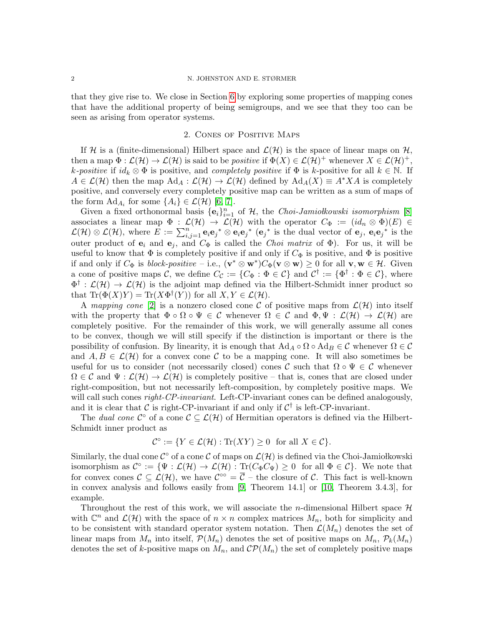that they give rise to. We close in Section [6](#page-8-0) by exploring some properties of mapping cones that have the additional property of being semigroups, and we see that they too can be seen as arising from operator systems.

### 2. Cones of Positive Maps

<span id="page-1-0"></span>If H is a (finite-dimensional) Hilbert space and  $\mathcal{L}(\mathcal{H})$  is the space of linear maps on H, then a map  $\Phi : \mathcal{L}(\mathcal{H}) \to \mathcal{L}(\mathcal{H})$  is said to be *positive* if  $\Phi(X) \in \mathcal{L}(\mathcal{H})^+$  whenever  $X \in \mathcal{L}(\mathcal{H})^+$ , k-positive if  $id_k \otimes \Phi$  is positive, and completely positive if  $\Phi$  is k-positive for all  $k \in \mathbb{N}$ . If  $A \in \mathcal{L}(\mathcal{H})$  then the map  $\text{Ad}_A : \mathcal{L}(\mathcal{H}) \to \mathcal{L}(\mathcal{H})$  defined by  $\text{Ad}_A(X) \equiv A^* X A$  is completely positive, and conversely every completely positive map can be written as a sum of maps of the form  $\text{Ad}_{A_i}$  for some  $\{A_i\} \in \mathcal{L}(\mathcal{H})$  [\[6,](#page-11-5) [7\]](#page-11-6).

Given a fixed orthonormal basis  $\{e_i\}_{i=1}^n$  of H, the *Choi-Jamiolkowski isomorphism* [\[8\]](#page-11-7) associates a linear map  $\Phi : \mathcal{L}(\mathcal{H}) \to \mathcal{L}(\mathcal{H})$  with the operator  $C_{\Phi} := (id_n \otimes \Phi)(E) \in$  $\mathcal{L}(\mathcal{H})\otimes\mathcal{L}(\mathcal{H})$ , where  $E:=\sum_{i,j=1}^n\mathbf{e}_i\mathbf{e}_j{}^*\otimes\mathbf{e}_i\mathbf{e}_j{}^*\;(\mathbf{e}_j{}^*\;\text{is the dual vector of }\mathbf{e}_j,\;\mathbf{e}_i\mathbf{e}_j{}^*\;\text{is the }$ outer product of  $e_i$  and  $e_j$ , and  $C_{\Phi}$  is called the *Choi matrix* of  $\Phi$ ). For us, it will be useful to know that  $\Phi$  is completely positive if and only if  $C_{\Phi}$  is positive, and  $\Phi$  is positive if and only if  $C_{\Phi}$  is *block-positive* – i.e.,  $(\mathbf{v}^* \otimes \mathbf{w}^*) C_{\Phi}(\mathbf{v} \otimes \mathbf{w}) \geq 0$  for all  $\mathbf{v}, \mathbf{w} \in \mathcal{H}$ . Given a cone of positive maps C, we define  $C_{\mathcal{C}} := \{ C_{\Phi} : \Phi \in \mathcal{C} \}$  and  $\mathcal{C}^{\dagger} := \{ \Phi^{\dagger} : \Phi \in \mathcal{C} \}$ , where  $\Phi^{\dagger}:\mathcal{L}(\mathcal{H})\to\mathcal{L}(\mathcal{H})$  is the adjoint map defined via the Hilbert-Schmidt inner product so that  $\text{Tr}(\Phi(X)Y) = \text{Tr}(X\Phi^{\dagger}(Y))$  for all  $X, Y \in \mathcal{L}(\mathcal{H})$ .

A mapping cone [\[2\]](#page-11-1) is a nonzero closed cone C of positive maps from  $\mathcal{L}(\mathcal{H})$  into itself with the property that  $\Phi \circ \Omega \circ \Psi \in \mathcal{C}$  whenever  $\Omega \in \mathcal{C}$  and  $\Phi, \Psi : \mathcal{L}(\mathcal{H}) \to \mathcal{L}(\mathcal{H})$  are completely positive. For the remainder of this work, we will generally assume all cones to be convex, though we will still specify if the distinction is important or there is the possibility of confusion. By linearity, it is enough that  $\text{Ad}_A \circ \Omega \circ \text{Ad}_B \in \mathcal{C}$  whenever  $\Omega \in \mathcal{C}$ and  $A, B \in \mathcal{L}(\mathcal{H})$  for a convex cone C to be a mapping cone. It will also sometimes be useful for us to consider (not necessarily closed) cones C such that  $\Omega \circ \Psi \in \mathcal{C}$  whenever  $\Omega \in \mathcal{C}$  and  $\Psi : \mathcal{L}(\mathcal{H}) \to \mathcal{L}(\mathcal{H})$  is completely positive – that is, cones that are closed under right-composition, but not necessarily left-composition, by completely positive maps. We will call such cones *right-CP-invariant*. Left-CP-invariant cones can be defined analogously, and it is clear that C is right-CP-invariant if and only if  $C^{\dagger}$  is left-CP-invariant.

The dual cone  $\mathcal{C}^{\circ}$  of a cone  $\mathcal{C} \subseteq \mathcal{L}(\mathcal{H})$  of Hermitian operators is defined via the Hilbert-Schmidt inner product as

$$
\mathcal{C}^{\circ} := \{ Y \in \mathcal{L}(\mathcal{H}) : \text{Tr}(XY) \ge 0 \text{ for all } X \in \mathcal{C} \}.
$$

Similarly, the dual cone  $\mathcal{C}^{\circ}$  of a cone  $\mathcal{C}$  of maps on  $\mathcal{L}(\mathcal{H})$  is defined via the Choi-Jamiołkowski isomorphism as  $\mathcal{C}^{\circ} := \{ \Psi : \mathcal{L}(\mathcal{H}) \to \mathcal{L}(\mathcal{H}) : \text{Tr}(C_{\Phi}C_{\Psi}) \geq 0 \text{ for all } \Phi \in \mathcal{C} \}.$  We note that for convex cones  $\mathcal{C} \subseteq \mathcal{L}(\mathcal{H})$ , we have  $\mathcal{C}^{\infty} = \overline{\mathcal{C}}$  – the closure of  $\mathcal{C}$ . This fact is well-known in convex analysis and follows easily from [\[9,](#page-11-8) Theorem 14.1] or [\[10,](#page-11-9) Theorem 3.4.3], for example.

Throughout the rest of this work, we will associate the *n*-dimensional Hilbert space  $H$ with  $\mathbb{C}^n$  and  $\mathcal{L}(\mathcal{H})$  with the space of  $n \times n$  complex matrices  $M_n$ , both for simplicity and to be consistent with standard operator system notation. Then  $\mathcal{L}(M_n)$  denotes the set of linear maps from  $M_n$  into itself,  $\mathcal{P}(M_n)$  denotes the set of positive maps on  $M_n$ ,  $\mathcal{P}_k(M_n)$ denotes the set of k-positive maps on  $M_n$ , and  $\mathcal{CP}(M_n)$  the set of completely positive maps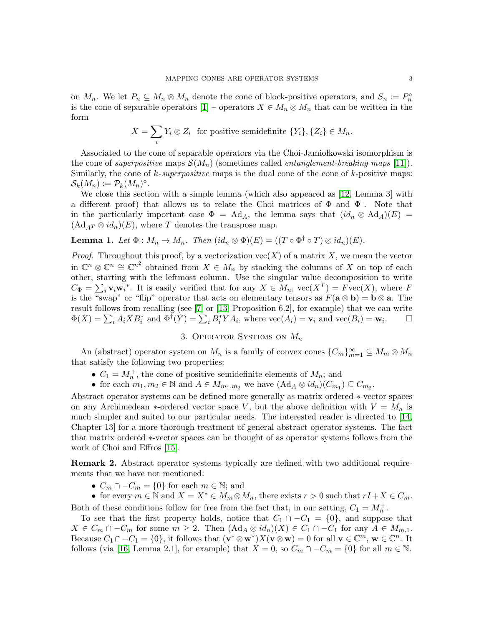on  $M_n$ . We let  $P_n \subseteq M_n \otimes M_n$  denote the cone of block-positive operators, and  $S_n := P_n^{\circ}$ is the cone of separable operators  $[1]$  – operators  $X \in M_n \otimes M_n$  that can be written in the form

$$
X = \sum_{i} Y_i \otimes Z_i \text{ for positive semidefinite } \{Y_i\}, \{Z_i\} \in M_n.
$$

Associated to the cone of separable operators via the Choi-Jamiołkowski isomorphism is the cone of superpositive maps  $\mathcal{S}(M_n)$  (sometimes called *entanglement-breaking maps* [\[11\]](#page-11-10)). Similarly, the cone of  $k$ -superpositive maps is the dual cone of the cone of  $k$ -positive maps:  $\mathcal{S}_k(M_n) := \mathcal{P}_k(M_n)^\circ.$ 

We close this section with a simple lemma (which also appeared as [\[12,](#page-11-11) Lemma 3] with a different proof) that allows us to relate the Choi matrices of  $\Phi$  and  $\Phi^{\dagger}$ . Note that in the particularly important case  $\Phi = \text{Ad}_A$ , the lemma says that  $(id_n \otimes \text{Ad}_A)(E) =$  $(\mathrm{Ad}_{AT}\otimes id_n)(E)$ , where T denotes the transpose map.

<span id="page-2-1"></span>**Lemma 1.** Let  $\Phi : M_n \to M_n$ . Then  $(id_n \otimes \Phi)(E) = ((T \circ \Phi^{\dagger} \circ T) \otimes id_n)(E)$ .

*Proof.* Throughout this proof, by a vectorization  $\text{vec}(X)$  of a matrix X, we mean the vector in  $\mathbb{C}^n \otimes \mathbb{C}^n \cong \mathbb{C}^{n^2}$  obtained from  $X \in M_n$  by stacking the columns of X on top of each other, starting with the leftmost column. Use the singular value decomposition to write  $C_{\Phi} = \sum_{i} \mathbf{v}_{i} \mathbf{w}_{i}^{*}$ . It is easily verified that for any  $X \in M_{n}$ ,  $\text{vec}(X^{T}) = F \text{vec}(X)$ , where F is the "swap" or "flip" operator that acts on elementary tensors as  $F(\mathbf{a} \otimes \mathbf{b}) = \mathbf{b} \otimes \mathbf{a}$ . The result follows from recalling (see [\[7\]](#page-11-6) or [\[13,](#page-11-12) Proposition 6.2], for example) that we can write  $\Phi(X) = \sum_i A_i X B_i^*$  and  $\Phi^{\dagger}(Y) = \sum_i B_i^* Y A_i$ , where  $\text{vec}(A_i) = \mathbf{v}_i$  and  $\text{vec}(B_i) = \mathbf{w}_i$ .

# 3. OPERATOR SYSTEMS ON  $M_n$

<span id="page-2-0"></span>An (abstract) operator system on  $M_n$  is a family of convex cones  ${C_m}_{m=1}^{\infty} \subseteq M_m \otimes M_n$ that satisfy the following two properties:

- $C_1 = M_n^+$ , the cone of positive semidefinite elements of  $M_n$ ; and
- for each  $m_1, m_2 \in \mathbb{N}$  and  $A \in M_{m_1,m_2}$  we have  $(Ad_A \otimes id_n)(C_{m_1}) \subseteq C_{m_2}$ .

Abstract operator systems can be defined more generally as matrix ordered ∗-vector spaces on any Archimedean \*-ordered vector space V, but the above definition with  $V = M_n$  is much simpler and suited to our particular needs. The interested reader is directed to [\[14,](#page-11-13) Chapter 13] for a more thorough treatment of general abstract operator systems. The fact that matrix ordered ∗-vector spaces can be thought of as operator systems follows from the work of Choi and Effros [\[15\]](#page-11-14).

Remark 2. Abstract operator systems typically are defined with two additional requirements that we have not mentioned:

- $C_m \cap -C_m = \{0\}$  for each  $m \in \mathbb{N}$ ; and
- for every  $m \in \mathbb{N}$  and  $X = X^* \in M_m \otimes M_n$ , there exists  $r > 0$  such that  $rI + X \in C_m$ .

Both of these conditions follow for free from the fact that, in our setting,  $C_1 = M_n^+$ .

To see that the first property holds, notice that  $C_1 \cap -C_1 = \{0\}$ , and suppose that  $X \in C_m \cap -C_m$  for some  $m \geq 2$ . Then  $(Ad_A \otimes id_n)(X) \in C_1 \cap -C_1$  for any  $A \in M_{m,1}$ . Because  $C_1 \cap -C_1 = \{0\}$ , it follows that  $(\mathbf{v}^* \otimes \mathbf{w}^*)X(\mathbf{v} \otimes \mathbf{w}) = 0$  for all  $\mathbf{v} \in \mathbb{C}^m$ ,  $\mathbf{w} \in \mathbb{C}^n$ . It follows (via [\[16,](#page-11-15) Lemma 2.1], for example) that  $X = 0$ , so  $C_m \cap -C_m = \{0\}$  for all  $m \in \mathbb{N}$ .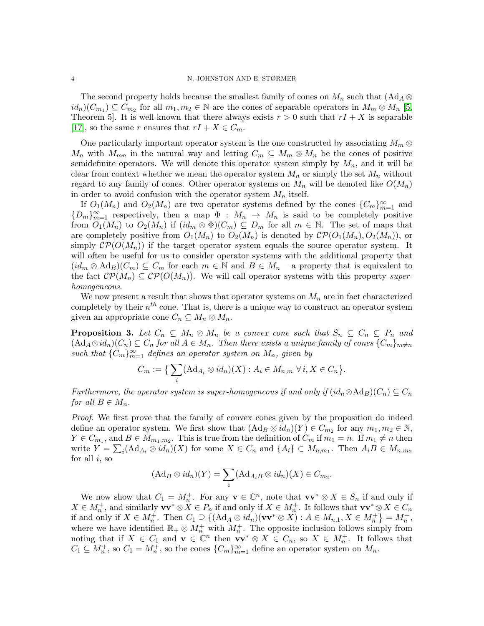The second property holds because the smallest family of cones on  $M_n$  such that  $(\mathrm{Ad}_A \otimes$  $id_n(C_{m_1}) \subseteq \overline{C}_{m_2}$  for all  $m_1, m_2 \in \mathbb{N}$  are the cones of separable operators in  $M_m \otimes M_n$  [\[5,](#page-11-4) Theorem 5. It is well-known that there always exists  $r > 0$  such that  $rI + X$  is separable [\[17\]](#page-11-16), so the same r ensures that  $rI + X \in C_m$ .

One particularly important operator system is the one constructed by associating  $M_m \otimes$  $M_n$  with  $M_{mn}$  in the natural way and letting  $C_m \subseteq M_m \otimes M_n$  be the cones of positive semidefinite operators. We will denote this operator system simply by  $M_n$ , and it will be clear from context whether we mean the operator system  $M_n$  or simply the set  $M_n$  without regard to any family of cones. Other operator systems on  $M_n$  will be denoted like  $O(M_n)$ in order to avoid confusion with the operator system  $M_n$  itself.

If  $O_1(M_n)$  and  $O_2(M_n)$  are two operator systems defined by the cones  ${C_m}_{m=1}^{\infty}$  and  ${D_m}_{m=1}^{\infty}$  respectively, then a map  $\Phi : M_n \to M_n$  is said to be completely positive from  $O_1(M_n)$  to  $O_2(M_n)$  if  $(id_m \otimes \Phi)(C_m) \subseteq D_m$  for all  $m \in \mathbb{N}$ . The set of maps that are completely positive from  $O_1(M_n)$  to  $O_2(M_n)$  is denoted by  $\mathcal{CP}(O_1(M_n), O_2(M_n))$ , or simply  $\mathcal{CP}(O(M_n))$  if the target operator system equals the source operator system. It will often be useful for us to consider operator systems with the additional property that  $(id_m \otimes \text{Ad}_B)(C_m) \subseteq C_m$  for each  $m \in \mathbb{N}$  and  $B \in M_n$  – a property that is equivalent to the fact  $\mathcal{CP}(M_n) \subseteq \mathcal{CP}(O(M_n))$ . We will call operator systems with this property superhomogeneous.

We now present a result that shows that operator systems on  $M_n$  are in fact characterized completely by their  $n^{th}$  cone. That is, there is a unique way to construct an operator system given an appropriate cone  $C_n \subseteq M_n \otimes M_n$ .

<span id="page-3-0"></span>**Proposition 3.** Let  $C_n \subseteq M_n \otimes M_n$  be a convex cone such that  $S_n \subseteq C_n \subseteq P_n$  and  $(\text{Ad}_A \otimes id_n)(C_n) \subseteq C_n$  for all  $A \in M_n$ . Then there exists a unique family of cones  $\{C_m\}_{m \neq n}$ such that  ${C_m}_{m=1}^{\infty}$  defines an operator system on  $M_n$ , given by

$$
C_m := \big\{ \sum_i (Ad_{A_i} \otimes id_n)(X) : A_i \in M_{n,m} \,\,\forall \, i, X \in C_n \big\}.
$$

Furthermore, the operator system is super-homogeneous if and only if  $(id_n \otimes \mathrm{Ad}_B)(C_n) \subseteq C_n$ for all  $B \in M_n$ .

Proof. We first prove that the family of convex cones given by the proposition do indeed define an operator system. We first show that  $(\mathrm{Ad}_B\otimes id_n)(Y)\in C_{m_2}$  for any  $m_1, m_2\in \mathbb{N}$ ,  $Y \in C_{m_1}$ , and  $B \in M_{m_1,m_2}$ . This is true from the definition of  $C_m$  if  $m_1 = n$ . If  $m_1 \neq n$  then write  $Y = \sum_i (Ad_{A_i} \otimes id_n)(X)$  for some  $X \in C_n$  and  $\{A_i\} \subset M_{n,m_1}$ . Then  $A_i B \in M_{n,m_2}$ for all  $i$ , so

$$
(\mathrm{Ad}_B\otimes id_n)(Y)=\sum_i (\mathrm{Ad}_{A_iB}\otimes id_n)(X)\in C_{m_2}.
$$

We now show that  $C_1 = M_n^+$ . For any  $\mathbf{v} \in \mathbb{C}^n$ , note that  $\mathbf{v} \mathbf{v}^* \otimes X \in S_n$  if and only if  $X \in M_n^+$ , and similarly  $\mathbf{vv}^* \otimes X \in P_n$  if and only if  $X \in M_n^+$ . It follows that  $\mathbf{vv}^* \otimes X \in C_n$ if and only if  $X \in M_n^+$ . Then  $C_1 \supseteq \{(Ad_A \otimes id_n)(\mathbf{vv}^* \otimes X) : A \in M_{n,1}, X \in M_n^+\} = M_n^+$ , where we have identified  $\mathbb{R}_+ \otimes M_n^+$  with  $M_n^+$ . The opposite inclusion follows simply from noting that if  $X \in C_1$  and  $\mathbf{v} \in \mathbb{C}^n$  then  $\mathbf{v} \mathbf{v}^* \otimes X \in C_n$ , so  $X \in M_n^+$ . It follows that  $C_1 \subseteq M_n^+$ , so  $C_1 = M_n^+$ , so the cones  $\{C_m\}_{m=1}^{\infty}$  define an operator system on  $M_n$ .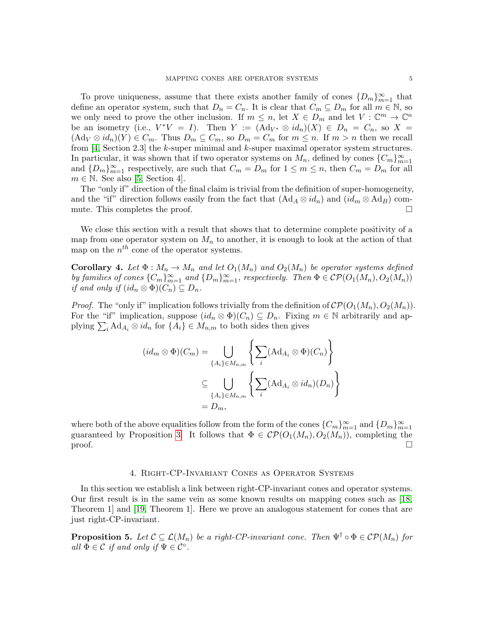To prove uniqueness, assume that there exists another family of cones  ${D_m}_{m=1}^{\infty}$  that define an operator system, such that  $D_n = C_n$ . It is clear that  $C_m \subseteq D_m$  for all  $m \in \mathbb{N}$ , so we only need to prove the other inclusion. If  $m \leq n$ , let  $X \in D_m$  and let  $V : \mathbb{C}^m \to \mathbb{C}^n$ be an isometry (i.e.,  $V^*V = I$ ). Then  $Y := (Ad_{V^*} \otimes id_n)(X) \in D_n = C_n$ , so  $X =$  $(\mathrm{Ad}_V \otimes id_n)(Y) \in C_m$ . Thus  $D_m \subseteq C_m$ , so  $D_m = C_m$  for  $m \leq n$ . If  $m > n$  then we recall from [\[4,](#page-11-3) Section 2.3] the k-super minimal and k-super maximal operator system structures. In particular, it was shown that if two operator systems on  $M_n$ , defined by cones  ${C_m}_{m=1}^{\infty}$ and  ${D_m}_{m=1}^{\infty}$  respectively, are such that  $C_m = D_m$  for  $1 \le m \le n$ , then  $C_m = D_m$  for all  $m \in \mathbb{N}$ . See also [\[5,](#page-11-4) Section 4].

The "only if" direction of the final claim is trivial from the definition of super-homogeneity, and the "if" direction follows easily from the fact that  $(Ad_A \otimes id_n)$  and  $(id_m \otimes Ad_B)$  commute. This completes the proof.  $\Box$ 

We close this section with a result that shows that to determine complete positivity of a map from one operator system on  $M_n$  to another, it is enough to look at the action of that map on the  $n^{th}$  cone of the operator systems.

<span id="page-4-1"></span>**Corollary 4.** Let  $\Phi : M_n \to M_n$  and let  $O_1(M_n)$  and  $O_2(M_n)$  be operator systems defined by families of cones  ${C_m}_{m=1}^{\infty}$  and  ${D_m}_{m=1}^{\infty}$ , respectively. Then  $\Phi \in \mathcal{CP}(O_1(M_n), O_2(M_n))$ if and only if  $(id_n \otimes \Phi)(C_n) \subseteq D_n$ .

*Proof.* The "only if" implication follows trivially from the definition of  $\mathcal{CP}(O_1(M_n), O_2(M_n))$ . For the "if" implication, suppose  $(id_n \otimes \Phi)(C_n) \subseteq D_n$ . Fixing  $m \in \mathbb{N}$  arbitrarily and applying  $\sum_i \text{Ad}_{A_i} \otimes id_n$  for  $\{A_i\} \in M_{n,m}$  to both sides then gives

$$
(id_m \otimes \Phi)(C_m) = \bigcup_{\{A_i\} \in M_{n,m}} \left\{ \sum_i (Ad_{A_i} \otimes \Phi)(C_n) \right\}
$$

$$
\subseteq \bigcup_{\{A_i\} \in M_{n,m}} \left\{ \sum_i (Ad_{A_i} \otimes id_n)(D_n) \right\}
$$

$$
= D_m,
$$

where both of the above equalities follow from the form of the cones  ${C_m}_{m=1}^{\infty}$  and  ${D_m}_{m=1}^{\infty}$ guaranteed by Proposition [3.](#page-3-0) It follows that  $\Phi \in \mathcal{CP}(O_1(M_n), O_2(M_n))$ , completing the  $\Box$ 

#### 4. Right-CP-Invariant Cones as Operator Systems

<span id="page-4-0"></span>In this section we establish a link between right-CP-invariant cones and operator systems. Our first result is in the same vein as some known results on mapping cones such as [\[18,](#page-11-17) Theorem 1] and [\[19,](#page-11-18) Theorem 1]. Here we prove an analogous statement for cones that are just right-CP-invariant.

<span id="page-4-2"></span>**Proposition 5.** Let  $\mathcal{C} \subseteq \mathcal{L}(M_n)$  be a right-CP-invariant cone. Then  $\Psi^{\dagger} \circ \Phi \in \mathcal{CP}(M_n)$  for all  $\Phi \in \mathcal{C}$  if and only if  $\Psi \in \mathcal{C}^{\circ}$ .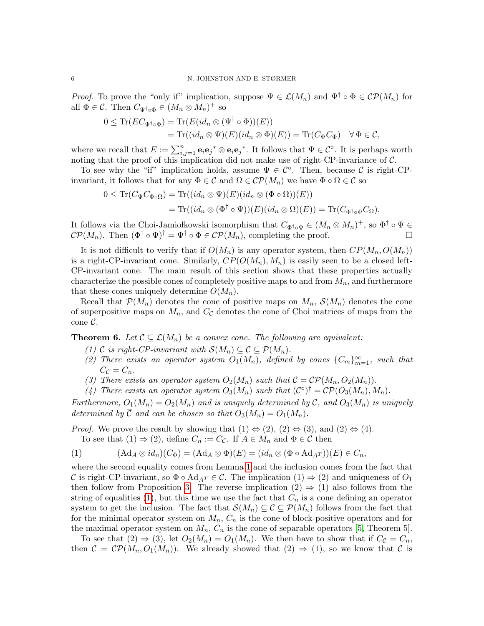*Proof.* To prove the "only if" implication, suppose  $\Psi \in \mathcal{L}(M_n)$  and  $\Psi^{\dagger} \circ \Phi \in \mathcal{CP}(M_n)$  for all  $\Phi \in \mathcal{C}$ . Then  $C_{\Psi^{\dagger} \circ \Phi} \in (M_n \otimes M_n)^+$  so

$$
0 \leq \text{Tr}(EC_{\Psi^{\dagger} \circ \Phi}) = \text{Tr}(E(id_n \otimes (\Psi^{\dagger} \circ \Phi))(E))
$$
  
= 
$$
\text{Tr}((id_n \otimes \Psi)(E)(id_n \otimes \Phi)(E)) = \text{Tr}(C_{\Psi}C_{\Phi}) \quad \forall \Phi \in \mathcal{C},
$$

where we recall that  $E := \sum_{i,j=1}^n \mathbf{e}_i \mathbf{e}_j^* \otimes \mathbf{e}_i \mathbf{e}_j^*$ . It follows that  $\Psi \in \mathcal{C}^{\circ}$ . It is perhaps worth noting that the proof of this implication did not make use of right-CP-invariance of  $\mathcal{C}$ .

To see why the "if" implication holds, assume  $\Psi \in \mathcal{C}^{\circ}$ . Then, because  $\mathcal{C}$  is right-CPinvariant, it follows that for any  $\Phi \in \mathcal{C}$  and  $\Omega \in \mathcal{CP}(M_n)$  we have  $\Phi \circ \Omega \in \mathcal{C}$  so

$$
0 \leq \text{Tr}(C_{\Psi}C_{\Phi\circ\Omega}) = \text{Tr}((id_n \otimes \Psi)(E)(id_n \otimes (\Phi \circ \Omega))(E))
$$
  
= 
$$
\text{Tr}((id_n \otimes (\Phi^{\dagger} \circ \Psi))(E)(id_n \otimes \Omega)(E)) = \text{Tr}(C_{\Phi^{\dagger} \circ \Psi}C_{\Omega}).
$$

It follows via the Choi-Jamiołkowski isomorphism that  $C_{\Phi^{\dagger}\circ\Psi} \in (M_n \otimes M_n)^+$ , so  $\Phi^{\dagger} \circ \Psi \in$  $\mathcal{CP}(M_n)$ . Then  $(\Phi^{\dagger} \circ \Psi)^{\dagger} = \Psi^{\dagger} \circ \Phi \in \mathcal{CP}(M_n)$ , completing the proof.

It is not difficult to verify that if  $O(M_n)$  is any operator system, then  $CP(M_n, O(M_n))$ is a right-CP-invariant cone. Similarly,  $CP(O(M_n), M_n)$  is easily seen to be a closed left-CP-invariant cone. The main result of this section shows that these properties actually characterize the possible cones of completely positive maps to and from  $M_n$ , and furthermore that these cones uniquely determine  $O(M_n)$ .

Recall that  $\mathcal{P}(M_n)$  denotes the cone of positive maps on  $M_n$ ,  $\mathcal{S}(M_n)$  denotes the cone of superpositive maps on  $M_n$ , and  $C_{\mathcal{C}}$  denotes the cone of Choi matrices of maps from the cone C.

<span id="page-5-1"></span>**Theorem 6.** Let  $\mathcal{C} \subseteq \mathcal{L}(M_n)$  be a convex cone. The following are equivalent:

- (1) C is right-CP-invariant with  $\mathcal{S}(M_n) \subseteq \mathcal{C} \subseteq \mathcal{P}(M_n)$ .
- (2) There exists an operator system  $O_1(M_n)$ , defined by cones  ${C_m}_{m=1}^{\infty}$ , such that  $C_{\mathcal{C}}=C_n$ .
- (3) There exists an operator system  $O_2(M_n)$  such that  $C = \mathcal{CP}(M_n, O_2(M_n))$ .
- (4) There exists an operator system  $O_3(M_n)$  such that  $(C^{\circ})^{\dagger} = \mathcal{CP}(O_3(M_n), M_n)$ .

Furthermore,  $O_1(M_n) = O_2(M_n)$  and is uniquely determined by C, and  $O_3(M_n)$  is uniquely determined by  $\overline{\mathcal{C}}$  and can be chosen so that  $O_3(M_n) = O_1(M_n)$ .

*Proof.* We prove the result by showing that  $(1) \Leftrightarrow (2), (2) \Leftrightarrow (3),$  and  $(2) \Leftrightarrow (4)$ .

To see that  $(1) \Rightarrow (2)$ , define  $C_n := C_{\mathcal{C}}$ . If  $A \in M_n$  and  $\Phi \in \mathcal{C}$  then

<span id="page-5-0"></span>(1) 
$$
(\mathrm{Ad}_A \otimes id_n)(C_{\Phi}) = (\mathrm{Ad}_A \otimes \Phi)(E) = (id_n \otimes (\Phi \circ \mathrm{Ad}_{A^T}))(E) \in C_n,
$$

where the second equality comes from Lemma [1](#page-2-1) and the inclusion comes from the fact that C is right-CP-invariant, so  $\Phi \circ \text{Ad}_{AT} \in \mathcal{C}$ . The implication  $(1) \Rightarrow (2)$  and uniqueness of  $O_1$ then follow from Proposition [3.](#page-3-0) The reverse implication  $(2) \Rightarrow (1)$  also follows from the string of equalities [\(1\)](#page-5-0), but this time we use the fact that  $C_n$  is a cone defining an operator system to get the inclusion. The fact that  $\mathcal{S}(M_n) \subseteq \mathcal{C} \subseteq \mathcal{P}(M_n)$  follows from the fact that for the minimal operator system on  $M_n$ ,  $C_n$  is the cone of block-positive operators and for the maximal operator system on  $M_n$ ,  $C_n$  is the cone of separable operators [\[5,](#page-11-4) Theorem 5].

To see that  $(2) \Rightarrow (3)$ , let  $O_2(M_n) = O_1(M_n)$ . We then have to show that if  $C_c = C_n$ , then  $C = \mathcal{CP}(M_n, O_1(M_n))$ . We already showed that  $(2) \Rightarrow (1)$ , so we know that C is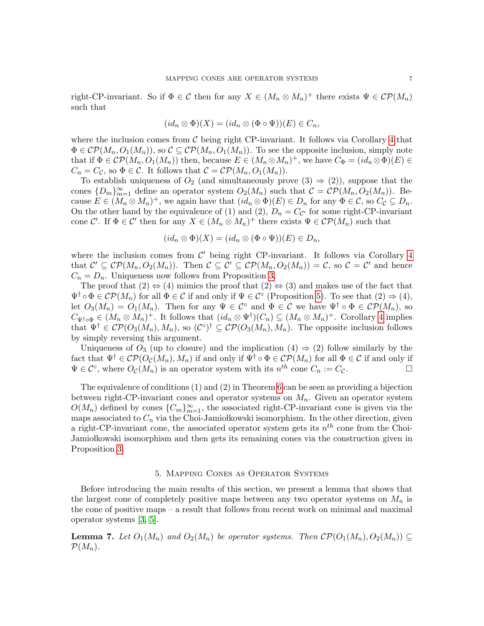right-CP-invariant. So if  $\Phi \in \mathcal{C}$  then for any  $X \in (M_n \otimes M_n)^+$  there exists  $\Psi \in \mathcal{CP}(M_n)$ such that

$$
(id_n \otimes \Phi)(X) = (id_n \otimes (\Phi \circ \Psi))(E) \in C_n,
$$

where the inclusion comes from  $\mathcal C$  being right CP-invariant. It follows via Corollary [4](#page-4-1) that  $\Phi \in \mathcal{CP}(M_n, O_1(M_n))$ , so  $\mathcal{C} \subseteq \mathcal{CP}(M_n, O_1(M_n))$ . To see the opposite inclusion, simply note that if  $\Phi \in \mathcal{CP}(M_n, O_1(M_n))$  then, because  $E \in (M_n \otimes M_n)^+$ , we have  $C_{\Phi} = (id_n \otimes \Phi)(E) \in$  $C_n = C_{\mathcal{C}}$ , so  $\Phi \in \mathcal{C}$ . It follows that  $\mathcal{C} = \mathcal{CP}(M_n, O_1(M_n)).$ 

To establish uniqueness of  $O_2$  (and simultaneously prove  $(3) \Rightarrow (2)$ ), suppose that the cones  ${D_m}_{m=1}^{\infty}$  define an operator system  $O_2(M_n)$  such that  $C = \mathcal{CP}(M_n, O_2(M_n))$ . Because  $E \in (M_n \otimes M_n)^+$ , we again have that  $(id_n \otimes \Phi)(E) \in D_n$  for any  $\Phi \in \mathcal{C}$ , so  $C_{\mathcal{C}} \subseteq D_n$ . On the other hand by the equivalence of (1) and (2),  $D_n = C_{\mathcal{C}'}$  for some right-CP-invariant cone C'. If  $\Phi \in \mathcal{C}'$  then for any  $X \in (M_n \otimes M_n)^+$  there exists  $\Psi \in \mathcal{CP}(M_n)$  such that

$$
(id_n \otimes \Phi)(X) = (id_n \otimes (\Phi \circ \Psi))(E) \in D_n,
$$

where the inclusion comes from  $\mathcal{C}'$  being right CP-invariant. It follows via Corollary [4](#page-4-1) that  $\mathcal{C}' \subseteq \mathcal{CP}(M_n, O_2(M_n))$ . Then  $\mathcal{C} \subseteq \mathcal{C}' \subseteq \mathcal{CP}(M_n, O_2(M_n)) = \mathcal{C}$ , so  $\mathcal{C} = \mathcal{C}'$  and hence  $C_n = D_n$ . Uniqueness now follows from Proposition [3.](#page-3-0)

The proof that  $(2) \Leftrightarrow (4)$  mimics the proof that  $(2) \Leftrightarrow (3)$  and makes use of the fact that  $\Psi^{\dagger} \circ \Phi \in \mathcal{CP}(M_n)$  for all  $\Phi \in \mathcal{C}$  if and only if  $\Psi \in \mathcal{C}^{\circ}$  (Proposition [5\)](#page-4-2). To see that  $(2) \Rightarrow (4)$ , let  $O_3(M_n) = O_1(M_n)$ . Then for any  $\Psi \in C^{\circ}$  and  $\Phi \in C$  we have  $\Psi^{\dagger} \circ \Phi \in C\mathcal{P}(M_n)$ , so  $C_{\Psi^{\dagger}\circ\Phi}\in (M_n\otimes M_n)^+$ . It follows that  $(id_n\otimes \Psi^{\dagger})(C_n)\subseteq (M_n\otimes M_n)^+$ . Corollary [4](#page-4-1) implies that  $\Psi^{\dagger} \in \mathcal{CP}(O_3(M_n), M_n)$ , so  $(\mathcal{C}^{\circ})^{\dagger} \subseteq \mathcal{CP}(O_3(M_n), M_n)$ . The opposite inclusion follows by simply reversing this argument.

Uniqueness of  $O_3$  (up to closure) and the implication  $(4) \Rightarrow (2)$  follow similarly by the fact that  $\Psi^{\dagger} \in \mathcal{CP}(O_{\mathcal{C}}(M_n), M_n)$  if and only if  $\Psi^{\dagger} \circ \Phi \in \mathcal{CP}(M_n)$  for all  $\Phi \in \mathcal{C}$  if and only if  $\Psi \in \mathcal{C}^{\circ}$ , where  $O_{\mathcal{C}}(M_n)$  is an operator system with its  $n^{th}$  cone  $C_n := C_{\mathcal{C}}$ .

The equivalence of conditions (1) and (2) in Theorem [6](#page-5-1) can be seen as providing a bijection between right-CP-invariant cones and operator systems on  $M_n$ . Given an operator system  $O(M_n)$  defined by cones  ${C_m}_{m=1}^{\infty}$ , the associated right-CP-invariant cone is given via the maps associated to  $C_n$  via the Choi-Jamiołkowski isomorphism. In the other direction, given a right-CP-invariant cone, the associated operator system gets its  $n^{th}$  cone from the Choi-Jamio kowski isomorphism and then gets its remaining cones via the construction given in Proposition [3.](#page-3-0)

#### 5. Mapping Cones as Operator Systems

<span id="page-6-0"></span>Before introducing the main results of this section, we present a lemma that shows that the largest cone of completely positive maps between any two operator systems on  $M_n$  is the cone of positive maps – a result that follows from recent work on minimal and maximal operator systems [\[3,](#page-11-2) [5\]](#page-11-4).

<span id="page-6-1"></span>**Lemma 7.** Let  $O_1(M_n)$  and  $O_2(M_n)$  be operator systems. Then  $\mathcal{CP}(O_1(M_n), O_2(M_n)) \subseteq$  $\mathcal{P}(M_n)$ .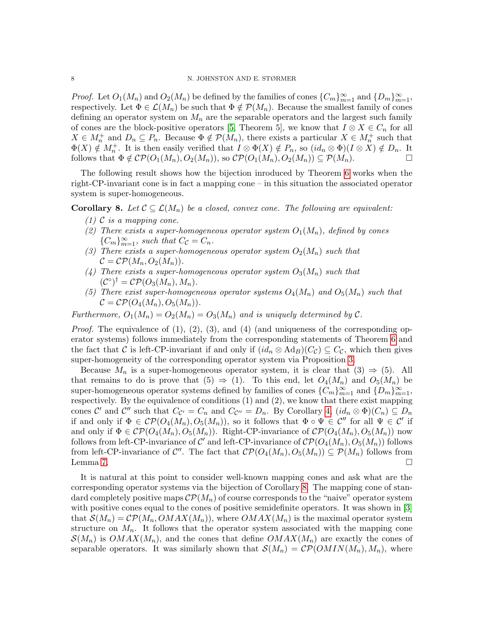*Proof.* Let  $O_1(M_n)$  and  $O_2(M_n)$  be defined by the families of cones  ${C_m}_{m=1}^{\infty}$  and  ${D_m}_{m=1}^{\infty}$ , respectively. Let  $\Phi \in \mathcal{L}(M_n)$  be such that  $\Phi \notin \mathcal{P}(M_n)$ . Because the smallest family of cones defining an operator system on  $M_n$  are the separable operators and the largest such family of cones are the block-positive operators [\[5,](#page-11-4) Theorem 5], we know that  $I \otimes X \in C_n$  for all  $X \in M_n^+$  and  $D_n \subseteq P_n$ . Because  $\Phi \notin \mathcal{P}(M_n)$ , there exists a particular  $X \in M_n^+$  such that  $\Phi(X) \notin M_n^+$ . It is then easily verified that  $I \otimes \Phi(X) \notin P_n$ , so  $(id_n \otimes \Phi)(I \otimes X) \notin D_n$ . It follows that  $\Phi \notin \mathcal{CP}(O_1(M_n), O_2(M_n))$ , so  $\mathcal{CP}(O_1(M_n), O_2(M_n)) \subseteq \mathcal{P}(M_n)$ .

The following result shows how the bijection inroduced by Theorem [6](#page-5-1) works when the right-CP-invariant cone is in fact a mapping cone – in this situation the associated operator system is super-homogeneous.

<span id="page-7-0"></span>**Corollary 8.** Let  $C \subseteq \mathcal{L}(M_n)$  be a closed, convex cone. The following are equivalent:

- $(1)$  C is a mapping cone.
- (2) There exists a super-homogeneous operator system  $O_1(M_n)$ , defined by cones  ${C_m}_{m=1}^{\infty}$ , such that  $C_c = C_n$ .
- (3) There exists a super-homogeneous operator system  $O_2(M_n)$  such that  $\mathcal{C} = \mathcal{C} \mathcal{P}(M_n, O_2(M_n)).$
- (4) There exists a super-homogeneous operator system  $O_3(M_n)$  such that  $(\mathcal{C}^{\circ})^{\dagger} = \mathcal{CP}(O_3(M_n), M_n).$
- (5) There exist super-homogeneous operator systems  $O_4(M_n)$  and  $O_5(M_n)$  such that  $\mathcal{C} = \mathcal{C} \mathcal{P}(O_4(M_n), O_5(M_n)).$

Furthermore,  $O_1(M_n) = O_2(M_n) = O_3(M_n)$  and is uniquely determined by C.

*Proof.* The equivalence of  $(1)$ ,  $(2)$ ,  $(3)$ , and  $(4)$  (and uniqueness of the corresponding operator systems) follows immediately from the corresponding statements of Theorem [6](#page-5-1) and the fact that C is left-CP-invariant if and only if  $(id_n \otimes \text{Ad}_B)(C_c) \subseteq C_c$ , which then gives super-homogeneity of the corresponding operator system via Proposition [3.](#page-3-0)

Because  $M_n$  is a super-homogeneous operator system, it is clear that  $(3) \Rightarrow (5)$ . All that remains to do is prove that  $(5) \Rightarrow (1)$ . To this end, let  $O_4(M_n)$  and  $O_5(M_n)$  be super-homogeneous operator systems defined by families of cones  ${C_m}_{m=1}^{\infty}$  and  ${D_m}_{m=1}^{\infty}$ , respectively. By the equivalence of conditions (1) and (2), we know that there exist mapping cones C' and C'' such that  $C_{\mathcal{C}'} = C_n$  and  $C_{\mathcal{C}''} = D_n$ . By Corollary [4,](#page-4-1)  $(id_n \otimes \Phi)(C_n) \subseteq D_n$ if and only if  $\Phi \in \mathcal{CP}(O_4(M_n), O_5(M_n))$ , so it follows that  $\Phi \circ \Psi \in \mathcal{C}''$  for all  $\Psi \in \mathcal{C}'$  if and only if  $\Phi \in \mathcal{CP}(O_4(M_n), O_5(M_n))$ . Right-CP-invariance of  $\mathcal{CP}(O_4(M_n), O_5(M_n))$  now follows from left-CP-invariance of  $\mathcal{C}'$  and left-CP-invariance of  $\mathcal{CP}(O_4(M_n), O_5(M_n))$  follows from left-CP-invariance of  $\mathcal{C}''$ . The fact that  $\mathcal{CP}(O_4(M_n), O_5(M_n)) \subseteq \mathcal{P}(M_n)$  follows from Lemma [7.](#page-6-1)  $\Box$ 

It is natural at this point to consider well-known mapping cones and ask what are the corresponding operator systems via the bijection of Corollary [8.](#page-7-0) The mapping cone of standard completely positive maps  $\mathcal{CP}(M_n)$  of course corresponds to the "naive" operator system with positive cones equal to the cones of positive semidefinite operators. It was shown in [\[3\]](#page-11-2) that  $\mathcal{S}(M_n) = \mathcal{CP}(M_n, OMAX(M_n))$ , where  $OMAX(M_n)$  is the maximal operator system structure on  $M_n$ . It follows that the operator system associated with the mapping cone  $\mathcal{S}(M_n)$  is  $OMAX(M_n)$ , and the cones that define  $OMAX(M_n)$  are exactly the cones of separable operators. It was similarly shown that  $\mathcal{S}(M_n) = \mathcal{CP}(OMIN(M_n), M_n)$ , where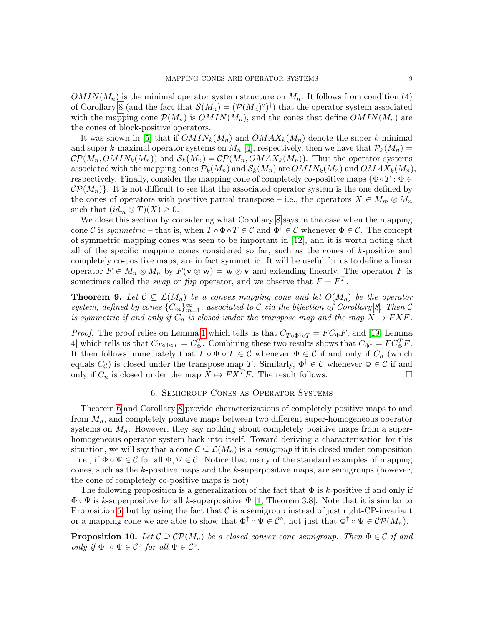$OMIN(M_n)$  is the minimal operator system structure on  $M_n$ . It follows from condition (4) of Corollary [8](#page-7-0) (and the fact that  $\mathcal{S}(M_n) = (\mathcal{P}(M_n)^{\circ})^{\dagger}$ ) that the operator system associated with the mapping cone  $\mathcal{P}(M_n)$  is  $OMIN(M_n)$ , and the cones that define  $OMIN(M_n)$  are the cones of block-positive operators.

It was shown in [\[5\]](#page-11-4) that if  $OMIN_k(M_n)$  and  $OMAX_k(M_n)$  denote the super k-minimal and super k-maximal operator systems on  $M_n$  [\[4\]](#page-11-3), respectively, then we have that  $\mathcal{P}_k(M_n)$  =  $\mathcal{CP}(M_n, OMIN_k(M_n))$  and  $\mathcal{S}_k(M_n) = \mathcal{CP}(M_n, OMAX_k(M_n))$ . Thus the operator systems associated with the mapping cones  $\mathcal{P}_k(M_n)$  and  $\mathcal{S}_k(M_n)$  are  $OMIN_k(M_n)$  and  $OMAX_k(M_n)$ , respectively. Finally, consider the mapping cone of completely co-positive maps  $\{\Phi \circ T : \Phi \in$  $\mathcal{CP}(M_n)$ . It is not difficult to see that the associated operator system is the one defined by the cones of operators with positive partial transpose – i.e., the operators  $X \in M_m \otimes M_n$ such that  $(id_m \otimes T)(X) \geq 0$ .

We close this section by considering what Corollary [8](#page-7-0) says in the case when the mapping cone C is symmetric – that is, when  $T \circ \Phi \circ T \in \mathcal{C}$  and  $\Phi^{\dagger} \in \mathcal{C}$  whenever  $\Phi \in \mathcal{C}$ . The concept of symmetric mapping cones was seen to be important in [\[12\]](#page-11-11), and it is worth noting that all of the specific mapping cones considered so far, such as the cones of  $k$ -positive and completely co-positive maps, are in fact symmetric. It will be useful for us to define a linear operator  $F \in M_n \otimes M_n$  by  $F(\mathbf{v} \otimes \mathbf{w}) = \mathbf{w} \otimes \mathbf{v}$  and extending linearly. The operator F is sometimes called the *swap* or *flip* operator, and we observe that  $F = F<sup>T</sup>$ .

**Theorem 9.** Let  $\mathcal{C} \subseteq \mathcal{L}(M_n)$  be a convex mapping cone and let  $O(M_n)$  be the operator system, defined by cones  ${C_m}_{m=1}^{\infty}$ , associated to C via the bijection of Corollary [8.](#page-7-0) Then C is symmetric if and only if  $C_n$  is closed under the transpose map and the map  $X \mapsto F X F$ .

*Proof.* The proof relies on Lemma [1](#page-2-1) which tells us that  $C_{T \circ \Phi^{\dagger} \circ T} = FC_{\Phi}F$ , and [\[19,](#page-11-18) Lemma 4] which tells us that  $C_{T \circ \Phi \circ T} = C_{\Phi}^T$ . Combining these two results shows that  $C_{\Phi^{\dagger}} = F C_{\Phi}^T F$ . It then follows immediately that  $T \circ \Phi \circ T \in \mathcal{C}$  whenever  $\Phi \in \mathcal{C}$  if and only if  $C_n$  (which equals  $C_{\mathcal{C}}$ ) is closed under the transpose map T. Similarly,  $\Phi^{\dagger} \in \mathcal{C}$  whenever  $\Phi \in \mathcal{C}$  if and only if  $C_n$  is closed under the map  $X \mapsto FX^T F$ . The result follows.

## 6. Semigroup Cones as Operator Systems

<span id="page-8-0"></span>Theorem [6](#page-5-1) and Corollary [8](#page-7-0) provide characterizations of completely positive maps to and from  $M_n$ , and completely positive maps between two different super-homogeneous operator systems on  $M_n$ . However, they say nothing about completely positive maps from a superhomogeneous operator system back into itself. Toward deriving a characterization for this situation, we will say that a cone  $\mathcal{C} \subseteq \mathcal{L}(M_n)$  is a semigroup if it is closed under composition – i.e., if  $\Phi \circ \Psi \in \mathcal{C}$  for all  $\Phi, \Psi \in \mathcal{C}$ . Notice that many of the standard examples of mapping cones, such as the  $k$ -positive maps and the  $k$ -superpositive maps, are semigroups (however, the cone of completely co-positive maps is not).

The following proposition is a generalization of the fact that  $\Phi$  is k-positive if and only if  $\Phi \circ \Psi$  is k-superpositive for all k-superpositive  $\Psi$  [\[1,](#page-11-0) Theorem 3.8]. Note that it is similar to Proposition [5,](#page-4-2) but by using the fact that  $\mathcal C$  is a semigroup instead of just right-CP-invariant or a mapping cone we are able to show that  $\Phi^{\dagger} \circ \Psi \in C^{\circ}$ , not just that  $\Phi^{\dagger} \circ \Psi \in \mathcal{CP}(M_n)$ .

<span id="page-8-1"></span>**Proposition 10.** Let  $\mathcal{C} \supseteq \mathcal{CP}(M_n)$  be a closed convex cone semigroup. Then  $\Phi \in \mathcal{C}$  if and only if  $\Phi^{\dagger} \circ \Psi \in C^{\circ}$  for all  $\Psi \in C^{\circ}$ .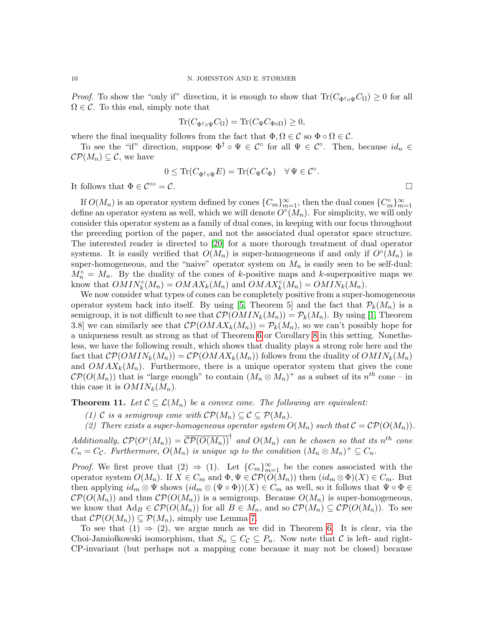*Proof.* To show the "only if" direction, it is enough to show that  $\text{Tr}(C_{\Phi^{\dagger} \circ \Psi} C_{\Omega}) \geq 0$  for all  $\Omega \in \mathcal{C}$ . To this end, simply note that

$$
\operatorname{Tr}(C_{\Phi^{\dagger} \circ \Psi} C_{\Omega}) = \operatorname{Tr}(C_{\Psi} C_{\Phi \circ \Omega}) \ge 0,
$$

where the final inequality follows from the fact that  $\Phi, \Omega \in \mathcal{C}$  so  $\Phi \circ \Omega \in \mathcal{C}$ .

To see the "if" direction, suppose  $\Phi^{\dagger} \circ \Psi \in \mathcal{C}^{\circ}$  for all  $\Psi \in \mathcal{C}^{\circ}$ . Then, because  $id_n \in$  $\mathcal{CP}(M_n) \subseteq \mathcal{C}$ , we have

$$
0 \leq \text{Tr}(C_{\Phi^{\dagger} \circ \Psi} E) = \text{Tr}(C_{\Psi} C_{\Phi}) \quad \forall \Psi \in \mathcal{C}^{\circ}.
$$

It follows that  $\Phi \in \mathcal{C}^{\infty} = \mathcal{C}$ .

If  $O(M_n)$  is an operator system defined by cones  ${C_m}_{m=1}^{\infty}$ , then the dual cones  ${C_m^{\circ}}_{m=1}^{\infty}$ define an operator system as well, which we will denote  $\tilde{O}^{\circ}(M_n)$ . For simplicity, we will only consider this operator system as a family of dual cones, in keeping with our focus throughout the preceding portion of the paper, and not the associated dual operator space structure. The interested reader is directed to [\[20\]](#page-11-19) for a more thorough treatment of dual operator systems. It is easily verified that  $O(M_n)$  is super-homogeneous if and only if  $O\circ(M_n)$  is super-homogeneous, and the "naive" operator system on  $M_n$  is easily seen to be self-dual:  $M_n^{\circ} = M_n$ . By the duality of the cones of k-positive maps and k-superpositive maps we know that  $OMIN_k^{\circ}(M_n) = OMAX_k(M_n)$  and  $OMAX_k^{\circ}(M_n) = OMIN_k(M_n)$ .

We now consider what types of cones can be completely positive from a super-homogeneous operator system back into itself. By using [\[5,](#page-11-4) Theorem 5] and the fact that  $P_k(M_n)$  is a semigroup, it is not difficult to see that  $\mathcal{CP}(OMIN_k(M_n)) = \mathcal{P}_k(M_n)$ . By using [\[1,](#page-11-0) Theorem 3.8] we can similarly see that  $\mathcal{CP}(OMAX_k(M_n)) = \mathcal{P}_k(M_n)$ , so we can't possibly hope for a uniqueness result as strong as that of Theorem [6](#page-5-1) or Corollary [8](#page-7-0) in this setting. Nonetheless, we have the following result, which shows that duality plays a strong role here and the fact that  $\mathcal{CP}(OMIN_k(M_n)) = \mathcal{CP}(OMAX_k(M_n))$  follows from the duality of  $OMIN_k(M_n)$ and  $OMAX_k(M_n)$ . Furthermore, there is a unique operator system that gives the cone  $\mathcal{CP}(O(M_n))$  that is "large enough" to contain  $(M_n \otimes M_n)^+$  as a subset of its  $n^{th}$  cone – in this case it is  $OMIN_k(M_n)$ .

<span id="page-9-0"></span>**Theorem 11.** Let  $\mathcal{C} \subseteq \mathcal{L}(M_n)$  be a convex cone. The following are equivalent:

(1) C is a semigroup cone with  $\mathcal{CP}(M_n) \subseteq \mathcal{C} \subseteq \mathcal{P}(M_n)$ .

(2) There exists a super-homogeneous operator system  $O(M_n)$  such that  $C = \mathcal{CP}(O(M_n))$ .

Additionally,  $\mathcal{CP}(O^{\circ}(M_n)) = \overline{\mathcal{CP}(O(M_n))}^{\dagger}$  and  $O(M_n)$  can be chosen so that its  $n^{th}$  cone  $C_n = C_{\mathcal{C}}$ . Furthermore,  $O(M_n)$  is unique up to the condition  $(M_n \otimes M_n)^+ \subseteq C_n$ .

*Proof.* We first prove that  $(2) \Rightarrow (1)$ . Let  ${C_m}_{m=1}^{\infty}$  be the cones associated with the operator system  $O(M_n)$ . If  $X \in C_m$  and  $\Phi, \Psi \in \mathcal{CP}(O(M_n))$  then  $(id_m \otimes \Phi)(X) \in C_m$ . But then applying  $id_m \otimes \Psi$  shows  $(id_m \otimes (\Psi \circ \Phi))(X) \in C_m$  as well, so it follows that  $\Psi \circ \Phi \in$  $\mathcal{CP}(O(M_n))$  and thus  $\mathcal{CP}(O(M_n))$  is a semigroup. Because  $O(M_n)$  is super-homogeneous, we know that  $\text{Ad}_B \in \mathcal{CP}(O(M_n))$  for all  $B \in M_n$ , and so  $\mathcal{CP}(M_n) \subseteq \mathcal{CP}(O(M_n))$ . To see that  $\mathcal{CP}(O(M_n)) \subseteq \mathcal{P}(M_n)$ , simply use Lemma [7.](#page-6-1)

To see that  $(1) \Rightarrow (2)$ , we argue much as we did in Theorem [6.](#page-5-1) It is clear, via the Choi-Jamiołkowski isomorphism, that  $S_n \subseteq C_{\mathcal{C}} \subseteq P_n$ . Now note that  $\mathcal{C}$  is left- and right-CP-invariant (but perhaps not a mapping cone because it may not be closed) because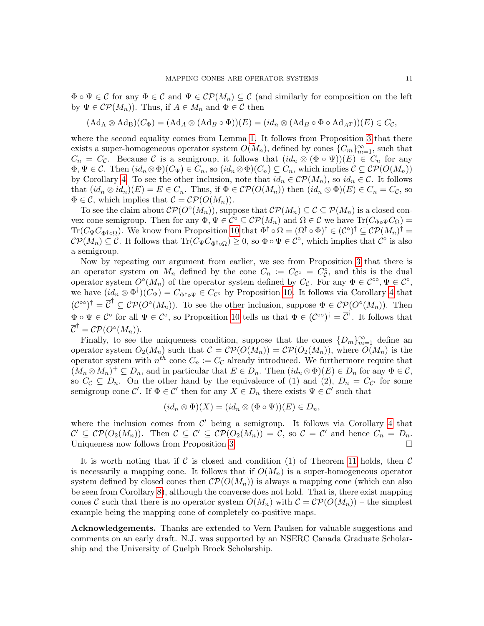$\Phi \circ \Psi \in \mathcal{C}$  for any  $\Phi \in \mathcal{C}$  and  $\Psi \in \mathcal{CP}(M_n) \subseteq \mathcal{C}$  (and similarly for composition on the left by  $\Psi \in \mathcal{CP}(M_n)$ . Thus, if  $A \in M_n$  and  $\Phi \in \mathcal{C}$  then

$$
(\mathrm{Ad}_A \otimes \mathrm{Ad}_B)(C_{\Phi}) = (\mathrm{Ad}_A \otimes (\mathrm{Ad}_B \circ \Phi))(E) = (id_n \otimes (\mathrm{Ad}_B \circ \Phi \circ \mathrm{Ad}_{A^T}))(E) \in C_{\mathcal{C}},
$$

where the second equality comes from Lemma [1.](#page-2-1) It follows from Proposition [3](#page-3-0) that there exists a super-homogeneous operator system  $O(M_n)$ , defined by cones  ${C_m}_{m=1}^{\infty}$ , such that  $C_n = C_c$ . Because C is a semigroup, it follows that  $(id_n \otimes (\Phi \circ \Psi))(E) \in C_n$  for any  $\Phi, \Psi \in \mathcal{C}$ . Then  $(id_n \otimes \Phi)(C_{\Psi}) \in C_n$ , so  $(id_n \otimes \Phi)(C_n) \subseteq C_n$ , which implies  $\mathcal{C} \subseteq \mathcal{CP}(O(M_n))$ by Corollary [4.](#page-4-1) To see the other inclusion, note that  $id_n \in \mathcal{CP}(M_n)$ , so  $id_n \in \mathcal{C}$ . It follows that  $(id_n \otimes id_n)(E) = E \in C_n$ . Thus, if  $\Phi \in \mathcal{CP}(O(M_n))$  then  $(id_n \otimes \Phi)(E) \in C_n = C_{\mathcal{C}}$ , so  $\Phi \in \mathcal{C}$ , which implies that  $\mathcal{C} = \mathcal{C} \mathcal{P}(O(M_n)).$ 

To see the claim about  $\mathcal{CP}(O\circ(M_n))$ , suppose that  $\mathcal{CP}(M_n) \subseteq \mathcal{C} \subseteq \mathcal{P}(M_n)$  is a closed convex cone semigroup. Then for any  $\Phi, \Psi \in \mathcal{C}^{\circ} \subseteq \mathcal{CP}(M_n)$  and  $\Omega \in \mathcal{C}$  we have  $\text{Tr}(C_{\Phi \circ \Psi} C_{\Omega}) =$ Tr( $C_{\Psi}C_{\Phi^{\dagger}\circ\Omega}$ ). We know from Proposition [10](#page-8-1) that  $\Phi^{\dagger}\circ\Omega = (\Omega^{\dagger}\circ\Phi)^{\dagger} \in (\mathcal{C}^{\circ})^{\dagger} \subseteq \mathcal{CP}(M_n)^{\dagger} =$  $\mathcal{CP}(M_n) \subseteq \mathcal{C}$ . It follows that  $\text{Tr}(C_{\Psi} C_{\Phi^{\dagger} \circ \Omega}) \geq 0$ , so  $\Phi \circ \Psi \in \mathcal{C}^{\circ}$ , which implies that  $\mathcal{C}^{\circ}$  is also a semigroup.

Now by repeating our argument from earlier, we see from Proposition [3](#page-3-0) that there is an operator system on  $M_n$  defined by the cone  $C_n := C_{\mathcal{C}} \circ C_{\mathcal{C}}$ , and this is the dual operator system  $O^{\circ}(M_n)$  of the operator system defined by  $C_{\mathcal{C}}$ . For any  $\Phi \in \mathcal{C}^{\circ}$ ,  $\Psi \in \mathcal{C}^{\circ}$ , we have  $(id_n \otimes \Phi^{\dagger})(C_{\Psi}) = C_{\Phi^{\dagger} \circ \Psi} \in C_{\mathcal{C}^{\circ}}$  by Proposition [10.](#page-8-1) It follows via Corollary [4](#page-4-1) that  $({\cal C}^{\circ\circ})^{\dagger} = \overline{{\cal C}}^{\dagger} \subseteq {\cal CP}({\cal O}^{\circ}(M_n)).$  To see the other inclusion, suppose  $\Phi \in {\cal CP}({\cal O}^{\circ}(M_n)).$  Then  $\Phi \circ \Psi \in \mathcal{C}^{\circ}$  for all  $\Psi \in \mathcal{C}^{\circ}$ , so Proposition [10](#page-8-1) tells us that  $\Phi \in (\mathcal{C}^{\circ\circ})^{\dagger} = \overline{\mathcal{C}}^{\dagger}$ . It follows that  $\overline{\mathcal{C}}^{\dagger} = \mathcal{C} \mathcal{P} (O^\circ(M_n)).$ 

Finally, to see the uniqueness condition, suppose that the cones  ${D_m}_{m=1}^{\infty}$  define an operator system  $O_2(M_n)$  such that  $\mathcal{C} = \mathcal{CP}(O(M_n)) = \mathcal{CP}(O_2(M_n))$ , where  $O(M_n)$  is the operator system with  $n^{th}$  cone  $C_n := C_{\mathcal{C}}$  already introduced. We furthermore require that  $(M_n \otimes M_n)^+ \subseteq D_n$ , and in particular that  $E \in D_n$ . Then  $(id_n \otimes \Phi)(E) \in D_n$  for any  $\Phi \in \mathcal{C}$ , so  $C_{\mathcal{C}} \subseteq D_n$ . On the other hand by the equivalence of (1) and (2),  $D_n = C_{\mathcal{C}'}$  for some semigroup cone  $\mathcal{C}'$ . If  $\Phi \in \mathcal{C}'$  then for any  $X \in D_n$  there exists  $\Psi \in \mathcal{C}'$  such that

$$
(id_n \otimes \Phi)(X) = (id_n \otimes (\Phi \circ \Psi))(E) \in D_n,
$$

where the inclusion comes from  $\mathcal{C}'$  being a semigroup. It follows via Corollary [4](#page-4-1) that  $\mathcal{C}' \subseteq \mathcal{CP}(O_2(M_n)).$  Then  $\mathcal{C} \subseteq \mathcal{C}' \subseteq \mathcal{CP}(O_2(M_n)) = \mathcal{C}$ , so  $\mathcal{C} = \mathcal{C}'$  and hence  $C_n = D_n$ . Uniqueness now follows from Proposition [3.](#page-3-0)  $\Box$ 

It is worth noting that if C is closed and condition (1) of Theorem [11](#page-9-0) holds, then  $\mathcal C$ is necessarily a mapping cone. It follows that if  $O(M_n)$  is a super-homogeneous operator system defined by closed cones then  $\mathcal{CP}(O(M_n))$  is always a mapping cone (which can also be seen from Corollary [8\)](#page-7-0), although the converse does not hold. That is, there exist mapping cones C such that there is no operator system  $O(M_n)$  with  $C = \mathcal{CP}(O(M_n))$  – the simplest example being the mapping cone of completely co-positive maps.

Acknowledgements. Thanks are extended to Vern Paulsen for valuable suggestions and comments on an early draft. N.J. was supported by an NSERC Canada Graduate Scholarship and the University of Guelph Brock Scholarship.